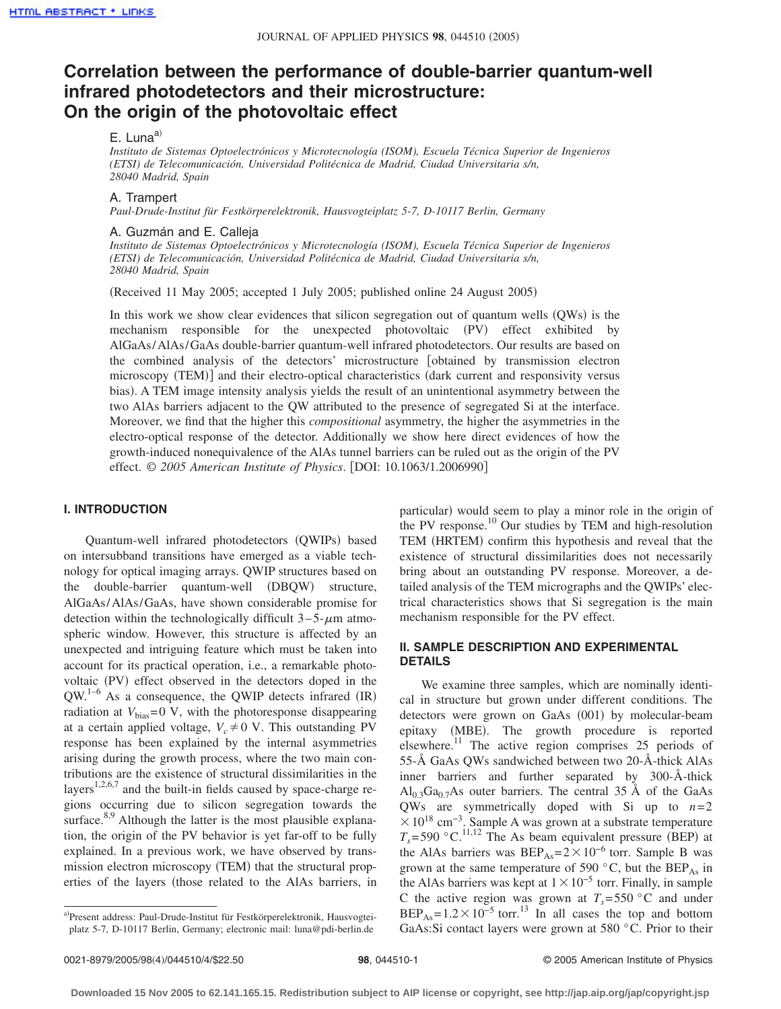# **Correlation between the performance of double-barrier quantum-well infrared photodetectors and their microstructure: On the origin of the photovoltaic effect**

## E. Luna $a^{(i)}$

*Instituto de Sistemas Optoelectrónicos y Microtecnología (ISOM), Escuela Técnica Superior de Ingenieros (ETSI) de Telecomunicación, Universidad Politécnica de Madrid, Ciudad Universitaria s/n, 28040 Madrid, Spain*

#### A. Trampert

*Paul-Drude-Institut für Festkörperelektronik, Hausvogteiplatz 5-7, D-10117 Berlin, Germany*

### A. Guzmán and E. Calleja

*Instituto de Sistemas Optoelectrónicos y Microtecnología (ISOM), Escuela Técnica Superior de Ingenieros (ETSI) de Telecomunicación, Universidad Politécnica de Madrid, Ciudad Universitaria s/n, 28040 Madrid, Spain*

Received 11 May 2005; accepted 1 July 2005; published online 24 August 2005-

In this work we show clear evidences that silicon segregation out of quantum wells (QWs) is the mechanism responsible for the unexpected photovoltaic (PV) effect exhibited by AlGaAs/AlAs/GaAs double-barrier quantum-well infrared photodetectors. Our results are based on the combined analysis of the detectors' microstructure [obtained by transmission electron microscopy (TEM)] and their electro-optical characteristics (dark current and responsivity versus bias). A TEM image intensity analysis yields the result of an unintentional asymmetry between the two AlAs barriers adjacent to the QW attributed to the presence of segregated Si at the interface. Moreover, we find that the higher this *compositional* asymmetry, the higher the asymmetries in the electro-optical response of the detector. Additionally we show here direct evidences of how the growth-induced nonequivalence of the AlAs tunnel barriers can be ruled out as the origin of the PV effect. © 2005 American Institute of Physics. [DOI: 10.1063/1.2006990]

## **I. INTRODUCTION**

Quantum-well infrared photodetectors (QWIPs) based on intersubband transitions have emerged as a viable technology for optical imaging arrays. QWIP structures based on the double-barrier quantum-well (DBQW) structure, AlGaAs/AlAs/GaAs, have shown considerable promise for detection within the technologically difficult  $3-5-\mu m$  atmospheric window. However, this structure is affected by an unexpected and intriguing feature which must be taken into account for its practical operation, i.e., a remarkable photovoltaic (PV) effect observed in the detectors doped in the  $QW^{1-6}$  As a consequence, the QWIP detects infrared (IR) radiation at  $V_{\text{bias}} = 0$  V, with the photoresponse disappearing at a certain applied voltage,  $V_c \neq 0$  V. This outstanding PV response has been explained by the internal asymmetries arising during the growth process, where the two main contributions are the existence of structural dissimilarities in the layers<sup>1,2,6,7</sup> and the built-in fields caused by space-charge regions occurring due to silicon segregation towards the surface. $8,9$  Although the latter is the most plausible explanation, the origin of the PV behavior is yet far-off to be fully explained. In a previous work, we have observed by transmission electron microscopy (TEM) that the structural properties of the layers (those related to the AlAs barriers, in

particular) would seem to play a minor role in the origin of the PV response.<sup>10</sup> Our studies by TEM and high-resolution TEM (HRTEM) confirm this hypothesis and reveal that the existence of structural dissimilarities does not necessarily bring about an outstanding PV response. Moreover, a detailed analysis of the TEM micrographs and the QWIPs' electrical characteristics shows that Si segregation is the main mechanism responsible for the PV effect.

## **II. SAMPLE DESCRIPTION AND EXPERIMENTAL DETAILS**

We examine three samples, which are nominally identical in structure but grown under different conditions. The detectors were grown on GaAs (001) by molecular-beam epitaxy (MBE). The growth procedure is reported elsewhere.11 The active region comprises 25 periods of 55-Å GaAs QWs sandwiched between two 20-Å-thick AlAs inner barriers and further separated by 300-Å-thick  $Al<sub>0.3</sub>Ga<sub>0.7</sub>As outer barriers. The central 35 Å of the GaAs$ QWs are symmetrically doped with Si up to *n*=2  $\times$  10<sup>18</sup> cm<sup>-3</sup>. Sample A was grown at a substrate temperature  $T_s = 590$  °C.<sup>11,12</sup> The As beam equivalent pressure (BEP) at the AlAs barriers was  $BEP_{As} = 2 \times 10^{-6}$  torr. Sample B was grown at the same temperature of 590  $^{\circ}$ C, but the BEP<sub>As</sub> in the AlAs barriers was kept at  $1 \times 10^{-5}$  torr. Finally, in sample C the active region was grown at  $T_s = 550$  °C and under  $BEP_{As} = 1.2 \times 10^{-5}$  torr.<sup>13</sup> In all cases the top and bottom GaAs:Si contact layers were grown at 580 °C. Prior to their

a)Present address: Paul-Drude-Institut für Festkörperelektronik, Hausvogteiplatz 5-7, D-10117 Berlin, Germany; electronic mail: luna@pdi-berlin.de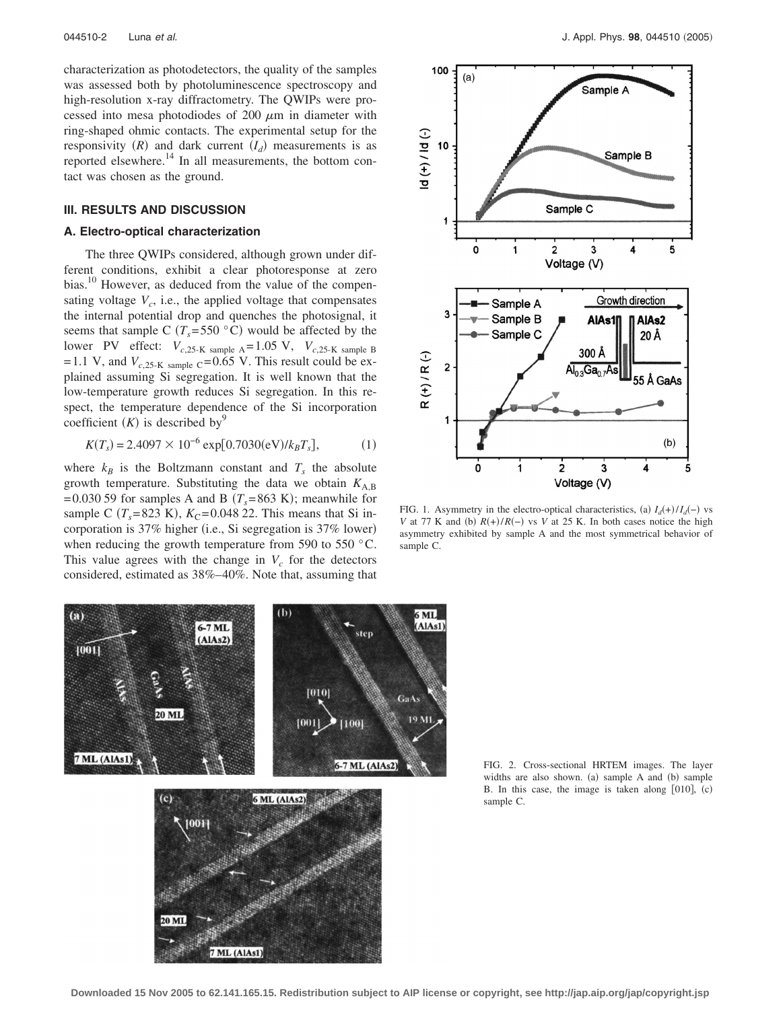characterization as photodetectors, the quality of the samples was assessed both by photoluminescence spectroscopy and high-resolution x-ray diffractometry. The QWIPs were processed into mesa photodiodes of 200  $\mu$ m in diameter with ring-shaped ohmic contacts. The experimental setup for the responsivity  $(R)$  and dark current  $(I_d)$  measurements is as reported elsewhere.<sup>14</sup> In all measurements, the bottom contact was chosen as the ground.

## **III. RESULTS AND DISCUSSION**

## **A. Electro-optical characterization**

The three QWIPs considered, although grown under different conditions, exhibit a clear photoresponse at zero bias.<sup>10</sup> However, as deduced from the value of the compensating voltage  $V_c$ , i.e., the applied voltage that compensates the internal potential drop and quenches the photosignal, it seems that sample C  $(T_s = 550 \degree C)$  would be affected by the lower PV effect:  $V_{c,25\text{-K sample A}} = 1.05 \text{ V}$ ,  $V_{c,25\text{-K sample B}}$ =1.1 V, and  $V_{c,25\text{-K sample}}$  c=0.65 V. This result could be explained assuming Si segregation. It is well known that the low-temperature growth reduces Si segregation. In this respect, the temperature dependence of the Si incorporation coefficient  $(K)$  is described by<sup>9</sup>

$$
K(T_s) = 2.4097 \times 10^{-6} \exp[0.7030(\text{eV})/k_B T_s],
$$
 (1)

where  $k_B$  is the Boltzmann constant and  $T_s$  the absolute growth temperature. Substituting the data we obtain  $K_{A,B}$  $=0.030$  59 for samples A and B ( $T_s = 863$  K); meanwhile for sample C  $(T_s = 823 \text{ K})$ ,  $K_C = 0.04822$ . This means that Si incorporation is 37% higher (i.e., Si segregation is 37% lower) when reducing the growth temperature from 590 to 550 °C. This value agrees with the change in  $V_c$  for the detectors considered, estimated as 38%–40%. Note that, assuming that



FIG. 1. Asymmetry in the electro-optical characteristics, (a)  $I_d(+) / I_d(-)$  vs *V* at 77 K and (b)  $R(+)/R(-)$  vs *V* at 25 K. In both cases notice the high asymmetry exhibited by sample A and the most symmetrical behavior of sample C.



7 ML (AlAs1)

FIG. 2. Cross-sectional HRTEM images. The layer widths are also shown. (a) sample A and (b) sample B. In this case, the image is taken along  $[010]$ ,  $(c)$ sample C.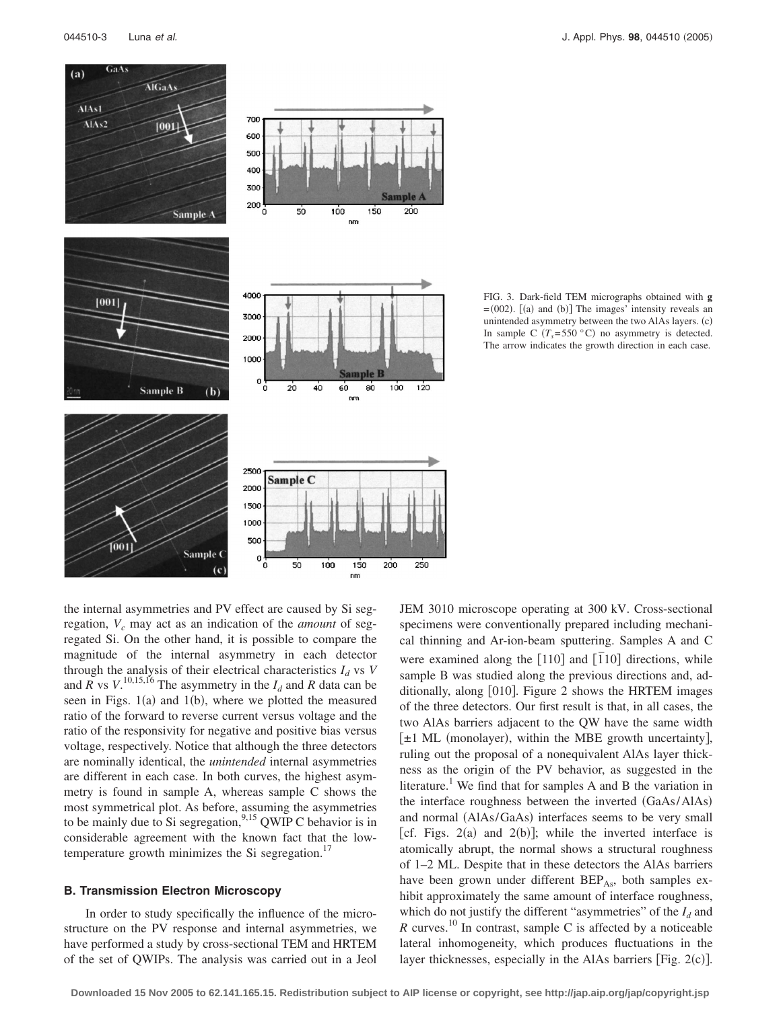

FIG. 3. Dark-field TEM micrographs obtained with **g**  $=(002)$ .  $[(a)$  and  $(b)]$  The images' intensity reveals an unintended asymmetry between the two AlAs layers. (c) In sample C  $(T_s = 550 \degree C)$  no asymmetry is detected. The arrow indicates the growth direction in each case.

the internal asymmetries and PV effect are caused by Si segregation,  $V_c$  may act as an indication of the *amount* of segregated Si. On the other hand, it is possible to compare the magnitude of the internal asymmetry in each detector through the analysis of their electrical characteristics  $I_d$  vs  $V$ and  $\overline{R}$  vs  $V$ <sup>10,15,16</sup> The asymmetry in the  $I_d$  and  $\overline{R}$  data can be seen in Figs.  $1(a)$  and  $1(b)$ , where we plotted the measured ratio of the forward to reverse current versus voltage and the ratio of the responsivity for negative and positive bias versus voltage, respectively. Notice that although the three detectors are nominally identical, the *unintended* internal asymmetries are different in each case. In both curves, the highest asymmetry is found in sample A, whereas sample C shows the most symmetrical plot. As before, assuming the asymmetries to be mainly due to Si segregation,  $^{9,15}$  QWIP C behavior is in considerable agreement with the known fact that the lowtemperature growth minimizes the Si segregation.<sup>17</sup>

## **B. Transmission Electron Microscopy**

In order to study specifically the influence of the microstructure on the PV response and internal asymmetries, we have performed a study by cross-sectional TEM and HRTEM of the set of QWIPs. The analysis was carried out in a Jeol JEM 3010 microscope operating at 300 kV. Cross-sectional specimens were conventionally prepared including mechanical thinning and Ar-ion-beam sputtering. Samples A and C were examined along the [110] and [110] directions, while sample B was studied along the previous directions and, additionally, along [010]. Figure 2 shows the HRTEM images of the three detectors. Our first result is that, in all cases, the two AlAs barriers adjacent to the QW have the same width  $[\pm 1$  ML (monolayer), within the MBE growth uncertainty], ruling out the proposal of a nonequivalent AlAs layer thickness as the origin of the PV behavior, as suggested in the literature.<sup>1</sup> We find that for samples A and B the variation in the interface roughness between the inverted (GaAs/AlAs) and normal (AlAs/GaAs) interfaces seems to be very small [cf. Figs.  $2(a)$  and  $2(b)$ ]; while the inverted interface is atomically abrupt, the normal shows a structural roughness of 1–2 ML. Despite that in these detectors the AlAs barriers have been grown under different BEP<sub>As</sub>, both samples exhibit approximately the same amount of interface roughness, which do not justify the different "asymmetries" of the  $I_d$  and  $R$  curves.<sup>10</sup> In contrast, sample C is affected by a noticeable lateral inhomogeneity, which produces fluctuations in the layer thicknesses, especially in the AlAs barriers [Fig.  $2(c)$ ].